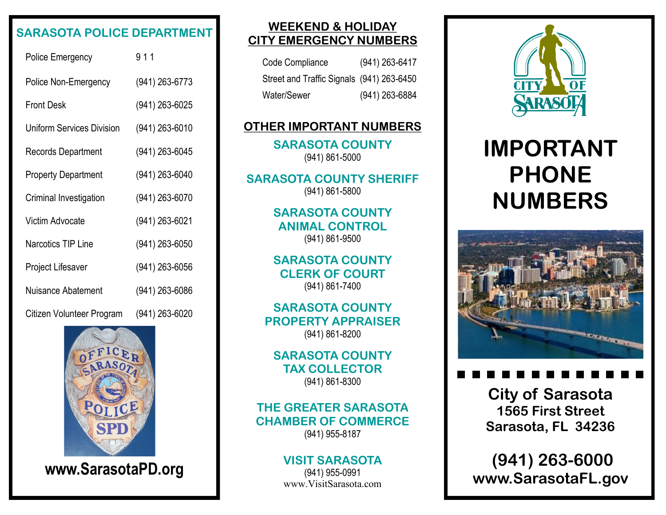## **SARASOTA POLICE DEPARTMENT**

| <b>Police Emergency</b>          | 911            |
|----------------------------------|----------------|
| Police Non-Emergency             | (941) 263-6773 |
| Front Desk                       | (941) 263-6025 |
| <b>Uniform Services Division</b> | (941) 263-6010 |
| <b>Records Department</b>        | (941) 263-6045 |
| <b>Property Department</b>       | (941) 263-6040 |
| Criminal Investigation           | (941) 263-6070 |
| Victim Advocate                  | (941) 263-6021 |
| <b>Narcotics TIP Line</b>        | (941) 263-6050 |
| Project Lifesaver                | (941) 263-6056 |
| Nuisance Abatement               | (941) 263-6086 |
| Citizen Volunteer Program        | (941) 263-6020 |



**www.SarasotaPD.org**

### **WEEKEND & HOLIDAY CITY EMERGENCY NUMBERS**

| Code Compliance                           | (941) 263-6417   |
|-------------------------------------------|------------------|
| Street and Traffic Signals (941) 263-6450 |                  |
| Water/Sewer                               | $(941)$ 263-6884 |

#### **OTHER IMPORTANT NUMBERS**

**SARASOTA COUNTY** (941) 861-5000

**SARASOTA COUNTY SHERIFF** (941) 861-5800

> **SARASOTA COUNTY ANIMAL CONTROL** (941) 861-9500

> **SARASOTA COUNTY CLERK OF COURT** (941) 861-7400

**SARASOTA COUNTY PROPERTY APPRAISER** (941) 861-8200

**SARASOTA COUNTY TAX COLLECTOR** (941) 861-8300

#### **THE GREATER SARASOTA CHAMBER OF COMMERCE** (941) 955-8187

#### **VISIT SARASOTA**

(941) 955-0991 www.VisitSarasota.com



# **IMPORTANT PHONE NUMBERS**



**City of Sarasota 1565 First Street Sarasota, FL 34236**

**(941) 263-6000 www.SarasotaFL.gov**